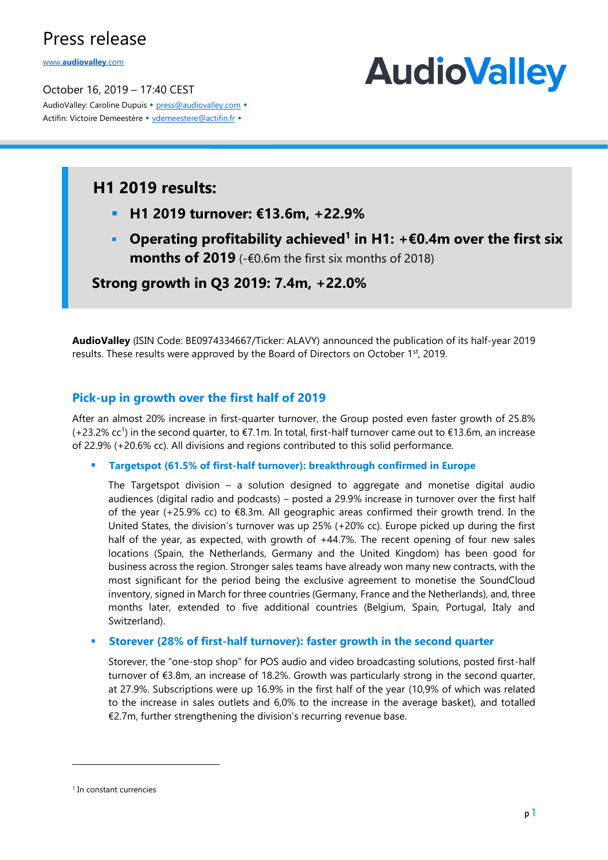www.**[audiovalley](http://www.audiovalley.com/)**.com

October 16, 2019 – 17:40 CEST AudioValley: Caroline Dupuis • [press@audiovalley.com](mailto:press@audiovalley.com) • Actifin: Victoire Demeestère • [vdemeestere@actifin.fr](mailto:vdemeestere@actifin.fr?subject=AUDIOVALLEY%20Question) •

# **AudioValley**

## **H1 2019 results:**

- **H1 2019 turnover: €13.6m, +22.9%**
- **Operating profitability achieved<sup>1</sup> in H1: +€0.4m over the first six months of 2019** (-€0.6m the first six months of 2018)

**Strong growth in Q3 2019: 7.4m, +22.0%**

**AudioValley** (ISIN Code: BE0974334667/Ticker: ALAVY) announced the publication of its half-year 2019 results. These results were approved by the Board of Directors on October 1st, 2019.

### **Pick-up in growth over the first half of 2019**

After an almost 20% increase in first-quarter turnover, the Group posted even faster growth of 25.8% (+23.2% cc<sup>1</sup> ) in the second quarter, to €7.1m. In total, first-half turnover came out to €13.6m, an increase of 22.9% (+20.6% cc). All divisions and regions contributed to this solid performance.

▪ **Targetspot (61.5% of first-half turnover): breakthrough confirmed in Europe** 

The Targetspot division  $-$  a solution designed to aggregate and monetise digital audio audiences (digital radio and podcasts) – posted a 29.9% increase in turnover over the first half of the year (+25.9% cc) to  $E$ 8.3m. All geographic areas confirmed their growth trend. In the United States, the division's turnover was up 25% (+20% cc). Europe picked up during the first half of the year, as expected, with growth of +44.7%. The recent opening of four new sales locations (Spain, the Netherlands, Germany and the United Kingdom) has been good for business across the region. Stronger sales teams have already won many new contracts, with the most significant for the period being the exclusive agreement to monetise the SoundCloud inventory, signed in March for three countries (Germany, France and the Netherlands), and, three months later, extended to five additional countries (Belgium, Spain, Portugal, Italy and Switzerland).

#### **Storever (28% of first-half turnover): faster growth in the second quarter**

Storever, the "one-stop shop" for POS audio and video broadcasting solutions, posted first-half turnover of €3.8m, an increase of 18.2%. Growth was particularly strong in the second quarter, at 27.9%. Subscriptions were up 16.9% in the first half of the year (10,9% of which was related to the increase in sales outlets and 6,0% to the increase in the average basket), and totalled €2.7m, further strengthening the division's recurring revenue base.

<sup>1</sup> In constant currencies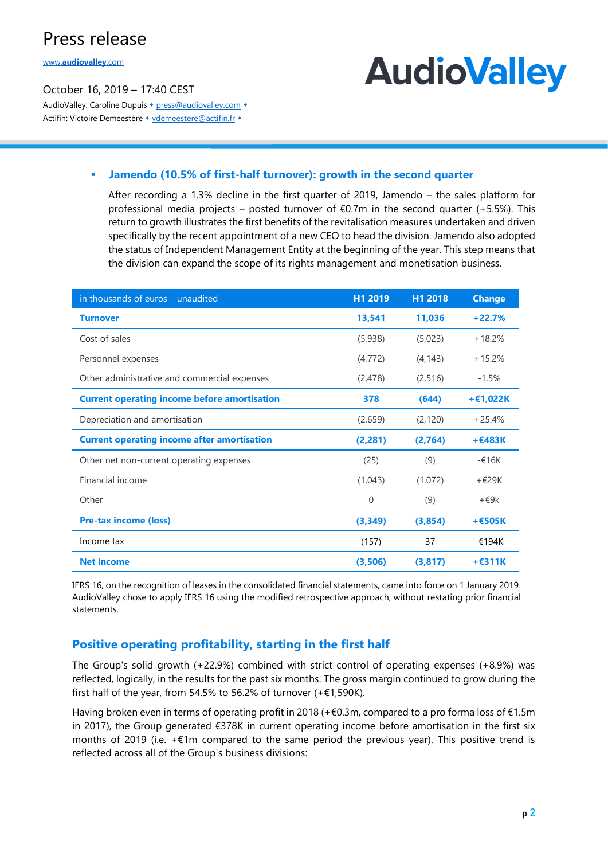www.**[audiovalley](http://www.audiovalley.com/)**.com

#### October 16, 2019 – 17:40 CEST AudioValley: Caroline Dupuis • [press@audiovalley.com](mailto:press@audiovalley.com) • Actifin: Victoire Demeestère • [vdemeestere@actifin.fr](mailto:vdemeestere@actifin.fr?subject=AUDIOVALLEY%20Question) •

# **AudioValley**

#### ▪ **Jamendo (10.5% of first-half turnover): growth in the second quarter**

After recording a 1.3% decline in the first quarter of 2019, Jamendo – the sales platform for professional media projects – posted turnover of  $E$ 0.7m in the second quarter (+5.5%). This return to growth illustrates the first benefits of the revitalisation measures undertaken and driven specifically by the recent appointment of a new CEO to head the division. Jamendo also adopted the status of Independent Management Entity at the beginning of the year. This step means that the division can expand the scope of its rights management and monetisation business.

| in thousands of euros - unaudited                   | H1 2019      | H1 2018  | <b>Change</b> |
|-----------------------------------------------------|--------------|----------|---------------|
| <b>Turnover</b>                                     | 13,541       | 11,036   | $+22.7%$      |
| Cost of sales                                       | (5,938)      | (5,023)  | $+18.2%$      |
| Personnel expenses                                  | (4, 772)     | (4, 143) | $+15.2%$      |
| Other administrative and commercial expenses        | (2,478)      | (2,516)  | $-1.5%$       |
| <b>Current operating income before amortisation</b> | 378          | (644)    | $+£1,022K$    |
| Depreciation and amortisation                       | (2,659)      | (2, 120) | $+25.4%$      |
| <b>Current operating income after amortisation</b>  | (2,281)      | (2,764)  | $+E483K$      |
| Other net non-current operating expenses            | (25)         | (9)      | $-£16K$       |
| Financial income                                    | (1,043)      | (1,072)  | $+$ $E$ 29K   |
| Other                                               | $\mathbf{0}$ | (9)      | $+$ $69k$     |
| <b>Pre-tax income (loss)</b>                        | (3,349)      | (3,854)  | $+E505K$      |
| Income tax                                          | (157)        | 37       | $-£194K$      |
| <b>Net income</b>                                   | (3,506)      | (3,817)  | $+$ $E$ 311K  |

IFRS 16, on the recognition of leases in the consolidated financial statements, came into force on 1 January 2019. AudioValley chose to apply IFRS 16 using the modified retrospective approach, without restating prior financial statements.

### **Positive operating profitability, starting in the first half**

The Group's solid growth (+22.9%) combined with strict control of operating expenses (+8.9%) was reflected, logically, in the results for the past six months. The gross margin continued to grow during the first half of the year, from 54.5% to 56.2% of turnover  $(+\epsilon 1,590K)$ .

Having broken even in terms of operating profit in 2018 (+€0.3m, compared to a pro forma loss of €1.5m in 2017), the Group generated €378K in current operating income before amortisation in the first six months of 2019 (i.e. +€1m compared to the same period the previous year). This positive trend is reflected across all of the Group's business divisions: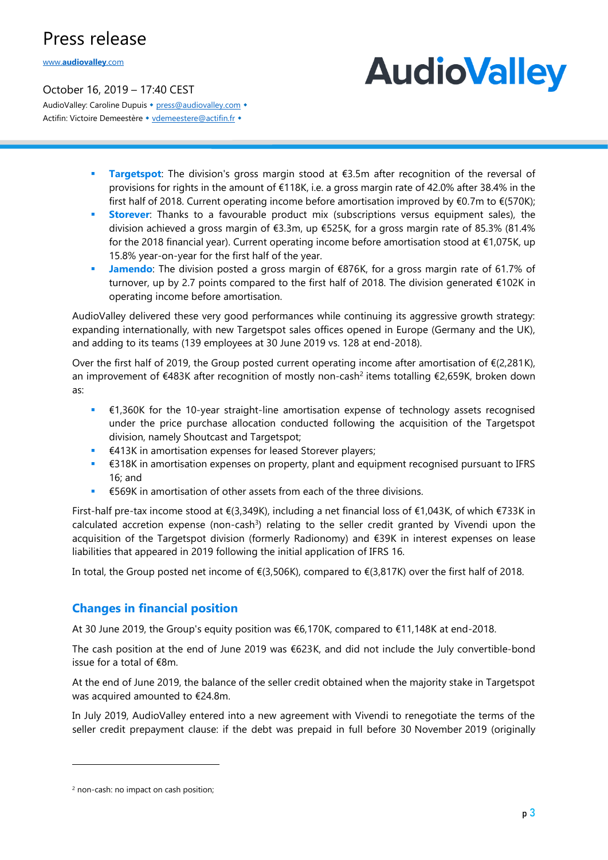www.**[audiovalley](http://www.audiovalley.com/)**.com

# **AudioValley**

October 16, 2019 – 17:40 CEST AudioValley: Caroline Dupuis • [press@audiovalley.com](mailto:press@audiovalley.com) • Actifin: Victoire Demeestère • [vdemeestere@actifin.fr](mailto:vdemeestere@actifin.fr?subject=AUDIOVALLEY%20Question) •

- **Targetspot**: The division's gross margin stood at €3.5m after recognition of the reversal of provisions for rights in the amount of €118K, i.e. a gross margin rate of 42.0% after 38.4% in the first half of 2018. Current operating income before amortisation improved by €0.7m to €(570K);
- **Example:** Storever: Thanks to a favourable product mix (subscriptions versus equipment sales), the division achieved a gross margin of  $\epsilon$ 3.3m, up  $\epsilon$ 525K, for a gross margin rate of 85.3% (81.4% for the 2018 financial year). Current operating income before amortisation stood at  $\epsilon$ 1,075K, up 15.8% year-on-year for the first half of the year.
- **Jamendo**: The division posted a gross margin of €876K, for a gross margin rate of 61.7% of turnover, up by 2.7 points compared to the first half of 2018. The division generated €102K in operating income before amortisation.

AudioValley delivered these very good performances while continuing its aggressive growth strategy: expanding internationally, with new Targetspot sales offices opened in Europe (Germany and the UK), and adding to its teams (139 employees at 30 June 2019 vs. 128 at end-2018).

Over the first half of 2019, the Group posted current operating income after amortisation of  $\epsilon$ (2,281K), an improvement of €483K after recognition of mostly non-cash<sup>2</sup> items totalling €2,659K, broken down as:

- $\epsilon$  61,360K for the 10-year straight-line amortisation expense of technology assets recognised under the price purchase allocation conducted following the acquisition of the Targetspot division, namely Shoutcast and Targetspot;
- €413K in amortisation expenses for leased Storever players;
- €318K in amortisation expenses on property, plant and equipment recognised pursuant to IFRS 16; and
- €569K in amortisation of other assets from each of the three divisions.

First-half pre-tax income stood at €(3,349K), including a net financial loss of €1,043K, of which €733K in calculated accretion expense (non-cash<sup>3</sup>) relating to the seller credit granted by Vivendi upon the acquisition of the Targetspot division (formerly Radionomy) and €39K in interest expenses on lease liabilities that appeared in 2019 following the initial application of IFRS 16.

In total, the Group posted net income of  $\epsilon$ (3,506K), compared to  $\epsilon$ (3,817K) over the first half of 2018.

### **Changes in financial position**

At 30 June 2019, the Group's equity position was €6,170K, compared to €11,148K at end-2018.

The cash position at the end of June 2019 was €623K, and did not include the July convertible-bond issue for a total of €8m.

At the end of June 2019, the balance of the seller credit obtained when the majority stake in Targetspot was acquired amounted to €24.8m.

In July 2019, AudioValley entered into a new agreement with Vivendi to renegotiate the terms of the seller credit prepayment clause: if the debt was prepaid in full before 30 November 2019 (originally

<sup>2</sup> non-cash: no impact on cash position;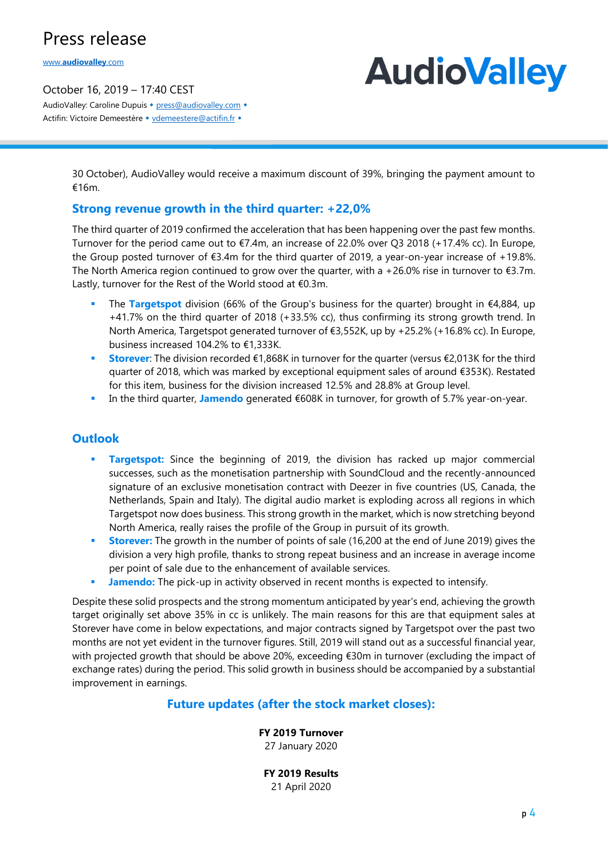www.**[audiovalley](http://www.audiovalley.com/)**.com

#### October 16, 2019 – 17:40 CEST AudioValley: Caroline Dupuis • [press@audiovalley.com](mailto:press@audiovalley.com) • Actifin: Victoire Demeestère • [vdemeestere@actifin.fr](mailto:vdemeestere@actifin.fr?subject=AUDIOVALLEY%20Question) •

# **AudioValley**

30 October), AudioValley would receive a maximum discount of 39%, bringing the payment amount to €16m.

### **Strong revenue growth in the third quarter: +22,0%**

The third quarter of 2019 confirmed the acceleration that has been happening over the past few months. Turnover for the period came out to €7.4m, an increase of 22.0% over Q3 2018 (+17.4% cc). In Europe, the Group posted turnover of €3.4m for the third quarter of 2019, a year-on-year increase of +19.8%. The North America region continued to grow over the quarter, with a +26.0% rise in turnover to  $\epsilon$ 3.7m. Lastly, turnover for the Rest of the World stood at €0.3m.

- The **Targetspot** division (66% of the Group's business for the quarter) brought in €4,884, up +41.7% on the third quarter of 2018 (+33.5% cc), thus confirming its strong growth trend. In North America, Targetspot generated turnover of €3,552K, up by +25.2% (+16.8% cc). In Europe, business increased 104.2% to €1,333K.
- **Storever**: The division recorded €1.868K in turnover for the quarter (versus €2.013K for the third quarter of 2018, which was marked by exceptional equipment sales of around €353K). Restated for this item, business for the division increased 12.5% and 28.8% at Group level.
- In the third quarter, **Jamendo** generated €608K in turnover, for growth of 5.7% year-on-year.

### **Outlook**

- **Example 1 Targetspot:** Since the beginning of 2019, the division has racked up major commercial successes, such as the monetisation partnership with SoundCloud and the recently-announced signature of an exclusive monetisation contract with Deezer in five countries (US, Canada, the Netherlands, Spain and Italy). The digital audio market is exploding across all regions in which Targetspot now does business. This strong growth in the market, which is now stretching beyond North America, really raises the profile of the Group in pursuit of its growth.
- **Example 1 Storever:** The growth in the number of points of sale (16,200 at the end of June 2019) gives the division a very high profile, thanks to strong repeat business and an increase in average income per point of sale due to the enhancement of available services.
- **EXECT Jamendo:** The pick-up in activity observed in recent months is expected to intensify.

Despite these solid prospects and the strong momentum anticipated by year's end, achieving the growth target originally set above 35% in cc is unlikely. The main reasons for this are that equipment sales at Storever have come in below expectations, and major contracts signed by Targetspot over the past two months are not yet evident in the turnover figures. Still, 2019 will stand out as a successful financial year, with projected growth that should be above 20%, exceeding €30m in turnover (excluding the impact of exchange rates) during the period. This solid growth in business should be accompanied by a substantial improvement in earnings.

#### **Future updates (after the stock market closes):**

#### **FY 2019 Turnover**

27 January 2020

**FY 2019 Results**  21 April 2020